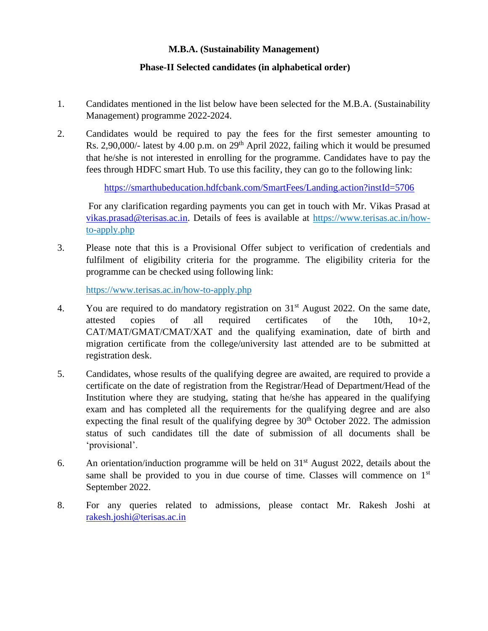## **M.B.A. (Sustainability Management)**

## **Phase-II Selected candidates (in alphabetical order)**

- 1. Candidates mentioned in the list below have been selected for the M.B.A. (Sustainability Management) programme 2022-2024.
- 2. Candidates would be required to pay the fees for the first semester amounting to Rs. 2,90,000/- latest by 4.00 p.m. on  $29<sup>th</sup>$  April 2022, failing which it would be presumed that he/she is not interested in enrolling for the programme. Candidates have to pay the fees through HDFC smart Hub. To use this facility, they can go to the following link:

<https://smarthubeducation.hdfcbank.com/SmartFees/Landing.action?instId=5706>

For any clarification regarding payments you can get in touch with Mr. Vikas Prasad at [vikas.prasad@terisas.ac.in.](mailto:vikas.prasad@terisas.ac.in) Details of fees is available at https://www.terisas.ac.in/howto-apply.php

3. Please note that this is a Provisional Offer subject to verification of credentials and fulfilment of eligibility criteria for the programme. The eligibility criteria for the programme can be checked using following link:

https://www.terisas.ac.in/how-to-apply.php

- 4. You are required to do mandatory registration on  $31<sup>st</sup>$  August 2022. On the same date, attested copies of all required certificates of the 10th, 10+2, CAT/MAT/GMAT/CMAT/XAT and the qualifying examination, date of birth and migration certificate from the college/university last attended are to be submitted at registration desk.
- 5. Candidates, whose results of the qualifying degree are awaited, are required to provide a certificate on the date of registration from the Registrar/Head of Department/Head of the Institution where they are studying, stating that he/she has appeared in the qualifying exam and has completed all the requirements for the qualifying degree and are also expecting the final result of the qualifying degree by  $30<sup>th</sup>$  October 2022. The admission status of such candidates till the date of submission of all documents shall be 'provisional'.
- 6. An orientation/induction programme will be held on  $31<sup>st</sup>$  August 2022, details about the same shall be provided to you in due course of time. Classes will commence on  $1<sup>st</sup>$ September 2022.
- 8. For any queries related to admissions, please contact Mr. Rakesh Joshi at [rakesh.joshi@terisas.ac.in](mailto:rakesh.joshi@terisas.ac.in)